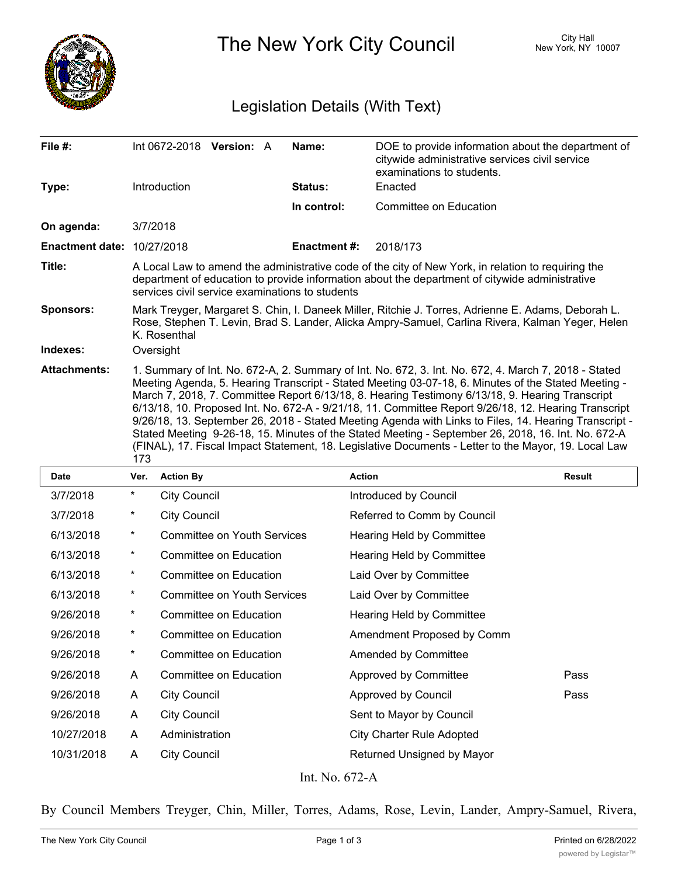

The New York City Council New York, NY 10007

# Legislation Details (With Text)

| File #:                           | Int 0672-2018 Version: A                                                                                                                                                                                                                                                                                                                                                                                                                                                                                                                                                                                                                                                                                                                             | Name:               | DOE to provide information about the department of<br>citywide administrative services civil service<br>examinations to students. |  |  |  |
|-----------------------------------|------------------------------------------------------------------------------------------------------------------------------------------------------------------------------------------------------------------------------------------------------------------------------------------------------------------------------------------------------------------------------------------------------------------------------------------------------------------------------------------------------------------------------------------------------------------------------------------------------------------------------------------------------------------------------------------------------------------------------------------------------|---------------------|-----------------------------------------------------------------------------------------------------------------------------------|--|--|--|
| Type:                             | Introduction                                                                                                                                                                                                                                                                                                                                                                                                                                                                                                                                                                                                                                                                                                                                         | Status:             | Enacted                                                                                                                           |  |  |  |
|                                   |                                                                                                                                                                                                                                                                                                                                                                                                                                                                                                                                                                                                                                                                                                                                                      | In control:         | Committee on Education                                                                                                            |  |  |  |
| On agenda:                        | 3/7/2018                                                                                                                                                                                                                                                                                                                                                                                                                                                                                                                                                                                                                                                                                                                                             |                     |                                                                                                                                   |  |  |  |
| <b>Enactment date: 10/27/2018</b> |                                                                                                                                                                                                                                                                                                                                                                                                                                                                                                                                                                                                                                                                                                                                                      | <b>Enactment #:</b> | 2018/173                                                                                                                          |  |  |  |
| Title:                            | A Local Law to amend the administrative code of the city of New York, in relation to requiring the<br>department of education to provide information about the department of citywide administrative<br>services civil service examinations to students                                                                                                                                                                                                                                                                                                                                                                                                                                                                                              |                     |                                                                                                                                   |  |  |  |
| <b>Sponsors:</b>                  | Mark Treyger, Margaret S. Chin, I. Daneek Miller, Ritchie J. Torres, Adrienne E. Adams, Deborah L.<br>Rose, Stephen T. Levin, Brad S. Lander, Alicka Ampry-Samuel, Carlina Rivera, Kalman Yeger, Helen<br>K. Rosenthal                                                                                                                                                                                                                                                                                                                                                                                                                                                                                                                               |                     |                                                                                                                                   |  |  |  |
| Indexes:                          | Oversight                                                                                                                                                                                                                                                                                                                                                                                                                                                                                                                                                                                                                                                                                                                                            |                     |                                                                                                                                   |  |  |  |
| <b>Attachments:</b>               | 1. Summary of Int. No. 672-A, 2. Summary of Int. No. 672, 3. Int. No. 672, 4. March 7, 2018 - Stated<br>Meeting Agenda, 5. Hearing Transcript - Stated Meeting 03-07-18, 6. Minutes of the Stated Meeting -<br>March 7, 2018, 7. Committee Report 6/13/18, 8. Hearing Testimony 6/13/18, 9. Hearing Transcript<br>6/13/18, 10. Proposed Int. No. 672-A - 9/21/18, 11. Committee Report 9/26/18, 12. Hearing Transcript<br>9/26/18, 13. September 26, 2018 - Stated Meeting Agenda with Links to Files, 14. Hearing Transcript -<br>Stated Meeting 9-26-18, 15. Minutes of the Stated Meeting - September 26, 2018, 16. Int. No. 672-A<br>(FINAL), 17. Fiscal Impact Statement, 18. Legislative Documents - Letter to the Mayor, 19. Local Law<br>173 |                     |                                                                                                                                   |  |  |  |

| <b>Date</b> | Ver.       | <b>Action By</b>                   | <b>Action</b>                    | <b>Result</b> |
|-------------|------------|------------------------------------|----------------------------------|---------------|
| 3/7/2018    | $^\star$   | <b>City Council</b>                | Introduced by Council            |               |
| 3/7/2018    | $^\star$   | <b>City Council</b>                | Referred to Comm by Council      |               |
| 6/13/2018   | $\star$    | <b>Committee on Youth Services</b> | Hearing Held by Committee        |               |
| 6/13/2018   | $^{\star}$ | Committee on Education             | Hearing Held by Committee        |               |
| 6/13/2018   | $^\star$   | Committee on Education             | Laid Over by Committee           |               |
| 6/13/2018   | $^\star$   | <b>Committee on Youth Services</b> | Laid Over by Committee           |               |
| 9/26/2018   | $^\star$   | Committee on Education             | Hearing Held by Committee        |               |
| 9/26/2018   | $^\star$   | Committee on Education             | Amendment Proposed by Comm       |               |
| 9/26/2018   | $^{\star}$ | Committee on Education             | Amended by Committee             |               |
| 9/26/2018   | A          | Committee on Education             | Approved by Committee            | Pass          |
| 9/26/2018   | A          | <b>City Council</b>                | Approved by Council              | Pass          |
| 9/26/2018   | A          | <b>City Council</b>                | Sent to Mayor by Council         |               |
| 10/27/2018  | A          | Administration                     | <b>City Charter Rule Adopted</b> |               |
| 10/31/2018  | A          | <b>City Council</b>                | Returned Unsigned by Mayor       |               |
|             |            |                                    |                                  |               |

Int. No. 672-A

By Council Members Treyger, Chin, Miller, Torres, Adams, Rose, Levin, Lander, Ampry-Samuel, Rivera,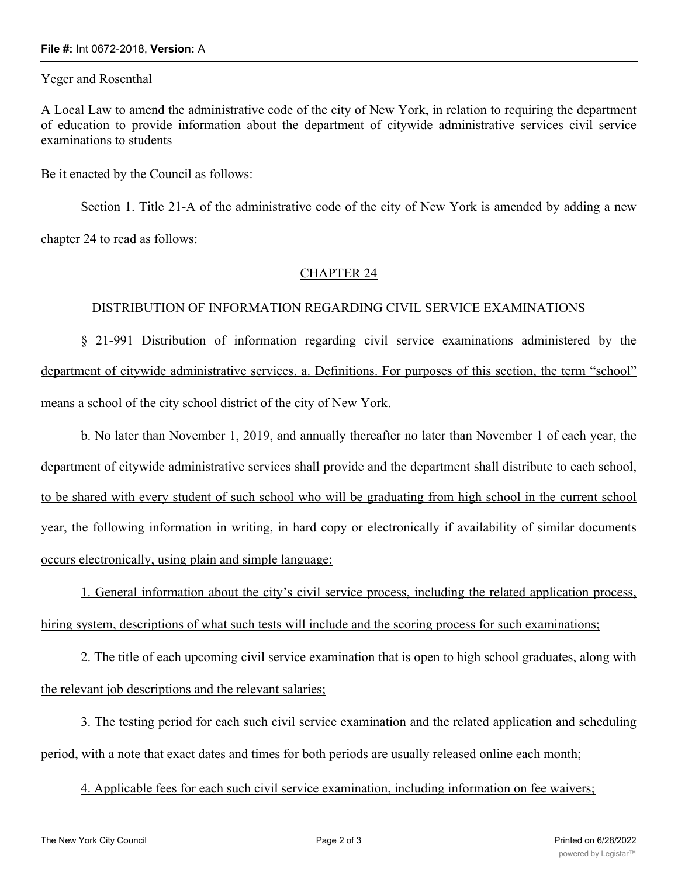#### **File #:** Int 0672-2018, **Version:** A

Yeger and Rosenthal

A Local Law to amend the administrative code of the city of New York, in relation to requiring the department of education to provide information about the department of citywide administrative services civil service examinations to students

### Be it enacted by the Council as follows:

Section 1. Title 21-A of the administrative code of the city of New York is amended by adding a new chapter 24 to read as follows:

## CHAPTER 24

## DISTRIBUTION OF INFORMATION REGARDING CIVIL SERVICE EXAMINATIONS

§ 21-991 Distribution of information regarding civil service examinations administered by the department of citywide administrative services. a. Definitions. For purposes of this section, the term "school" means a school of the city school district of the city of New York.

b. No later than November 1, 2019, and annually thereafter no later than November 1 of each year, the department of citywide administrative services shall provide and the department shall distribute to each school, to be shared with every student of such school who will be graduating from high school in the current school year, the following information in writing, in hard copy or electronically if availability of similar documents occurs electronically, using plain and simple language:

1. General information about the city's civil service process, including the related application process, hiring system, descriptions of what such tests will include and the scoring process for such examinations;

2. The title of each upcoming civil service examination that is open to high school graduates, along with the relevant job descriptions and the relevant salaries;

3. The testing period for each such civil service examination and the related application and scheduling period, with a note that exact dates and times for both periods are usually released online each month;

4. Applicable fees for each such civil service examination, including information on fee waivers;